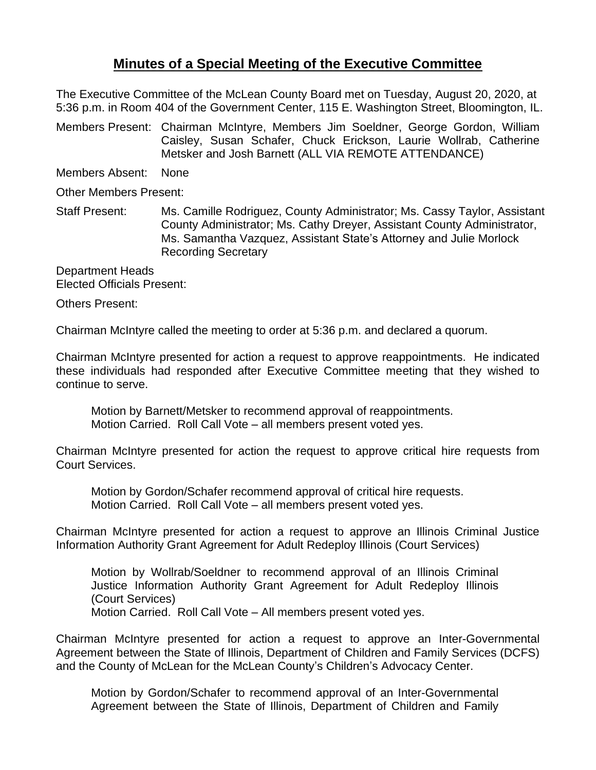## **Minutes of a Special Meeting of the Executive Committee**

The Executive Committee of the McLean County Board met on Tuesday, August 20, 2020, at 5:36 p.m. in Room 404 of the Government Center, 115 E. Washington Street, Bloomington, IL.

Members Present: Chairman McIntyre, Members Jim Soeldner, George Gordon, William Caisley, Susan Schafer, Chuck Erickson, Laurie Wollrab, Catherine Metsker and Josh Barnett (ALL VIA REMOTE ATTENDANCE)

Members Absent: None

Other Members Present:

Staff Present: Ms. Camille Rodriguez, County Administrator; Ms. Cassy Taylor, Assistant County Administrator; Ms. Cathy Dreyer, Assistant County Administrator, Ms. Samantha Vazquez, Assistant State's Attorney and Julie Morlock Recording Secretary

Department Heads Elected Officials Present:

Others Present:

Chairman McIntyre called the meeting to order at 5:36 p.m. and declared a quorum.

Chairman McIntyre presented for action a request to approve reappointments. He indicated these individuals had responded after Executive Committee meeting that they wished to continue to serve.

Motion by Barnett/Metsker to recommend approval of reappointments. Motion Carried. Roll Call Vote – all members present voted yes.

Chairman McIntyre presented for action the request to approve critical hire requests from Court Services.

Motion by Gordon/Schafer recommend approval of critical hire requests. Motion Carried. Roll Call Vote – all members present voted yes.

Chairman McIntyre presented for action a request to approve an Illinois Criminal Justice Information Authority Grant Agreement for Adult Redeploy Illinois (Court Services)

Motion by Wollrab/Soeldner to recommend approval of an Illinois Criminal Justice Information Authority Grant Agreement for Adult Redeploy Illinois (Court Services) Motion Carried. Roll Call Vote – All members present voted yes.

Chairman McIntyre presented for action a request to approve an Inter-Governmental Agreement between the State of Illinois, Department of Children and Family Services (DCFS) and the County of McLean for the McLean County's Children's Advocacy Center.

Motion by Gordon/Schafer to recommend approval of an Inter-Governmental Agreement between the State of Illinois, Department of Children and Family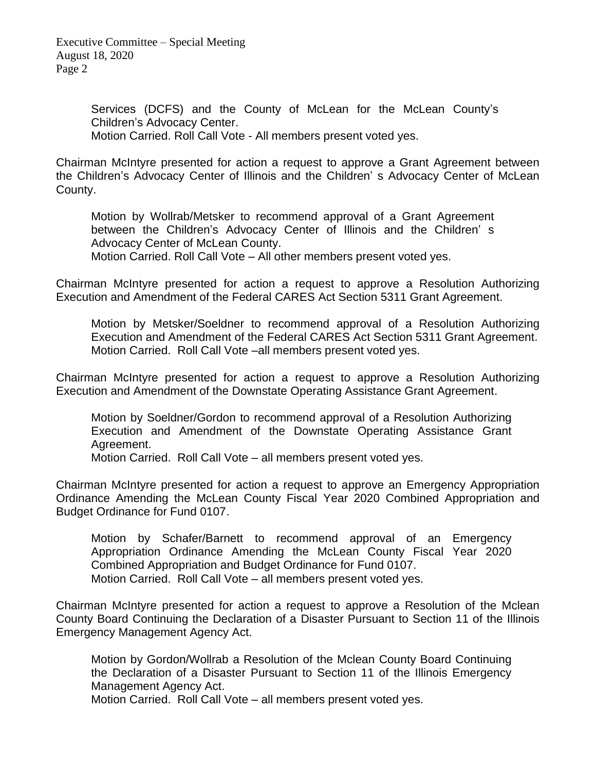Executive Committee – Special Meeting August 18, 2020 Page 2

> Services (DCFS) and the County of McLean for the McLean County's Children's Advocacy Center. Motion Carried. Roll Call Vote - All members present voted yes.

Chairman McIntyre presented for action a request to approve a Grant Agreement between the Children's Advocacy Center of Illinois and the Children' s Advocacy Center of McLean

County.

Motion by Wollrab/Metsker to recommend approval of a Grant Agreement between the Children's Advocacy Center of Illinois and the Children' s Advocacy Center of McLean County.

Motion Carried. Roll Call Vote – All other members present voted yes.

Chairman McIntyre presented for action a request to approve a Resolution Authorizing Execution and Amendment of the Federal CARES Act Section 5311 Grant Agreement.

Motion by Metsker/Soeldner to recommend approval of a Resolution Authorizing Execution and Amendment of the Federal CARES Act Section 5311 Grant Agreement. Motion Carried. Roll Call Vote –all members present voted yes.

Chairman McIntyre presented for action a request to approve a Resolution Authorizing Execution and Amendment of the Downstate Operating Assistance Grant Agreement.

Motion by Soeldner/Gordon to recommend approval of a Resolution Authorizing Execution and Amendment of the Downstate Operating Assistance Grant Agreement.

Motion Carried. Roll Call Vote – all members present voted yes.

Chairman McIntyre presented for action a request to approve an Emergency Appropriation Ordinance Amending the McLean County Fiscal Year 2020 Combined Appropriation and Budget Ordinance for Fund 0107.

Motion by Schafer/Barnett to recommend approval of an Emergency Appropriation Ordinance Amending the McLean County Fiscal Year 2020 Combined Appropriation and Budget Ordinance for Fund 0107. Motion Carried. Roll Call Vote – all members present voted yes.

Chairman McIntyre presented for action a request to approve a Resolution of the Mclean County Board Continuing the Declaration of a Disaster Pursuant to Section 11 of the Illinois Emergency Management Agency Act.

Motion by Gordon/Wollrab a Resolution of the Mclean County Board Continuing the Declaration of a Disaster Pursuant to Section 11 of the Illinois Emergency Management Agency Act.

Motion Carried. Roll Call Vote – all members present voted yes.